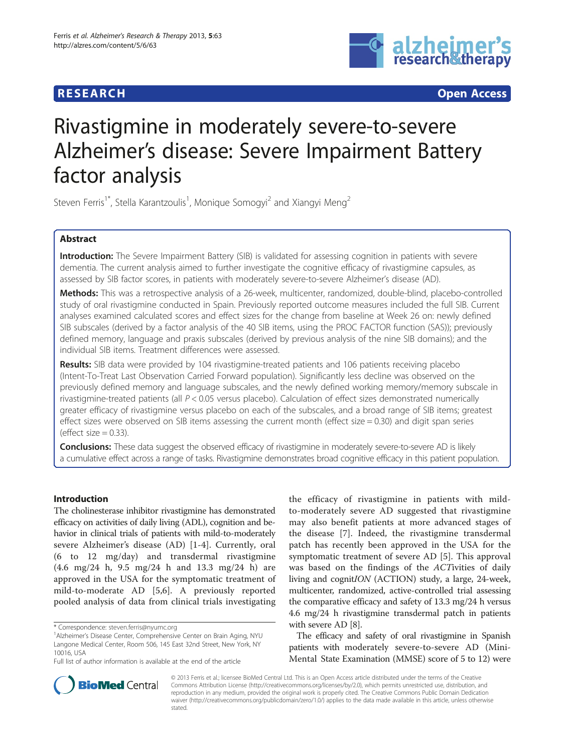## **RESEARCH CHEAR CHEAR CHEAR CHEAR CHEAR CHEAR CHEAR CHEAR CHEAR CHEAR CHEAR CHEAR CHEAR CHEAR CHEAR CHEAR CHEAR**



# Rivastigmine in moderately severe-to-severe Alzheimer's disease: Severe Impairment Battery factor analysis

Steven Ferris<sup>1\*</sup>, Stella Karantzoulis<sup>1</sup>, Monique Somogyi<sup>2</sup> and Xiangyi Meng<sup>2</sup>

## Abstract

Introduction: The Severe Impairment Battery (SIB) is validated for assessing cognition in patients with severe dementia. The current analysis aimed to further investigate the cognitive efficacy of rivastigmine capsules, as assessed by SIB factor scores, in patients with moderately severe-to-severe Alzheimer's disease (AD).

Methods: This was a retrospective analysis of a 26-week, multicenter, randomized, double-blind, placebo-controlled study of oral rivastigmine conducted in Spain. Previously reported outcome measures included the full SIB. Current analyses examined calculated scores and effect sizes for the change from baseline at Week 26 on: newly defined SIB subscales (derived by a factor analysis of the 40 SIB items, using the PROC FACTOR function (SAS)); previously defined memory, language and praxis subscales (derived by previous analysis of the nine SIB domains); and the individual SIB items. Treatment differences were assessed.

Results: SIB data were provided by 104 rivastigmine-treated patients and 106 patients receiving placebo (Intent-To-Treat Last Observation Carried Forward population). Significantly less decline was observed on the previously defined memory and language subscales, and the newly defined working memory/memory subscale in rivastigmine-treated patients (all  $P < 0.05$  versus placebo). Calculation of effect sizes demonstrated numerically greater efficacy of rivastigmine versus placebo on each of the subscales, and a broad range of SIB items; greatest effect sizes were observed on SIB items assessing the current month (effect size = 0.30) and digit span series (effect size  $= 0.33$ ).

Conclusions: These data suggest the observed efficacy of rivastigmine in moderately severe-to-severe AD is likely a cumulative effect across a range of tasks. Rivastigmine demonstrates broad cognitive efficacy in this patient population.

## Introduction

The cholinesterase inhibitor rivastigmine has demonstrated efficacy on activities of daily living (ADL), cognition and behavior in clinical trials of patients with mild-to-moderately severe Alzheimer's disease (AD) [\[1-4](#page-7-0)]. Currently, oral (6 to 12 mg/day) and transdermal rivastigmine (4.6 mg/24 h, 9.5 mg/24 h and 13.3 mg/24 h) are approved in the USA for the symptomatic treatment of mild-to-moderate AD [[5,6](#page-7-0)]. A previously reported pooled analysis of data from clinical trials investigating the efficacy of rivastigmine in patients with mildto-moderately severe AD suggested that rivastigmine may also benefit patients at more advanced stages of the disease [\[7](#page-7-0)]. Indeed, the rivastigmine transdermal patch has recently been approved in the USA for the symptomatic treatment of severe AD [\[5](#page-7-0)]. This approval was based on the findings of the ACTivities of daily living and cognitION (ACTION) study, a large, 24-week, multicenter, randomized, active-controlled trial assessing the comparative efficacy and safety of 13.3 mg/24 h versus 4.6 mg/24 h rivastigmine transdermal patch in patients with severe AD [[8\]](#page-7-0).

The efficacy and safety of oral rivastigmine in Spanish patients with moderately severe-to-severe AD (Mini-Mental State Examination (MMSE) score of 5 to 12) were



© 2013 Ferris et al.; licensee BioMed Central Ltd. This is an Open Access article distributed under the terms of the Creative Commons Attribution License [\(http://creativecommons.org/licenses/by/2.0\)](http://creativecommons.org/licenses/by/2.0), which permits unrestricted use, distribution, and reproduction in any medium, provided the original work is properly cited. The Creative Commons Public Domain Dedication waiver [\(http://creativecommons.org/publicdomain/zero/1.0/\)](http://creativecommons.org/publicdomain/zero/1.0/) applies to the data made available in this article, unless otherwise stated.

<sup>\*</sup> Correspondence: [steven.ferris@nyumc.org](mailto:steven.ferris@nyumc.org) <sup>1</sup>

<sup>&</sup>lt;sup>1</sup> Alzheimer's Disease Center, Comprehensive Center on Brain Aging, NYU Langone Medical Center, Room 506, 145 East 32nd Street, New York, NY 10016, USA

Full list of author information is available at the end of the article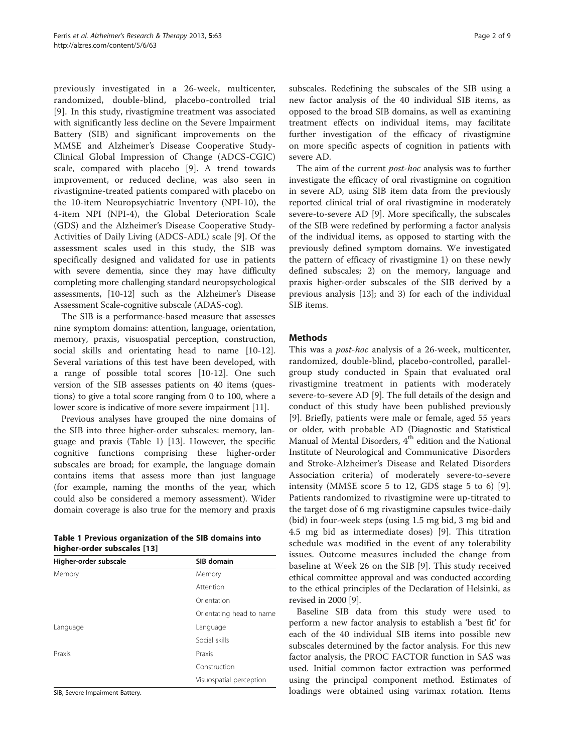previously investigated in a 26-week, multicenter, randomized, double-blind, placebo-controlled trial [[9](#page-8-0)]. In this study, rivastigmine treatment was associated with significantly less decline on the Severe Impairment Battery (SIB) and significant improvements on the MMSE and Alzheimer's Disease Cooperative Study-Clinical Global Impression of Change (ADCS-CGIC) scale, compared with placebo [[9\]](#page-8-0). A trend towards improvement, or reduced decline, was also seen in rivastigmine-treated patients compared with placebo on the 10-item Neuropsychiatric Inventory (NPI-10), the 4-item NPI (NPI-4), the Global Deterioration Scale (GDS) and the Alzheimer's Disease Cooperative Study-Activities of Daily Living (ADCS-ADL) scale [[9](#page-8-0)]. Of the assessment scales used in this study, the SIB was specifically designed and validated for use in patients with severe dementia, since they may have difficulty completing more challenging standard neuropsychological assessments, [[10](#page-8-0)-[12](#page-8-0)] such as the Alzheimer's Disease Assessment Scale-cognitive subscale (ADAS-cog).

The SIB is a performance-based measure that assesses nine symptom domains: attention, language, orientation, memory, praxis, visuospatial perception, construction, social skills and orientating head to name [\[10-12](#page-8-0)]. Several variations of this test have been developed, with a range of possible total scores [\[10-12](#page-8-0)]. One such version of the SIB assesses patients on 40 items (questions) to give a total score ranging from 0 to 100, where a lower score is indicative of more severe impairment [[11](#page-8-0)].

Previous analyses have grouped the nine domains of the SIB into three higher-order subscales: memory, language and praxis (Table 1) [\[13\]](#page-8-0). However, the specific cognitive functions comprising these higher-order subscales are broad; for example, the language domain contains items that assess more than just language (for example, naming the months of the year, which could also be considered a memory assessment). Wider domain coverage is also true for the memory and praxis

|                             | Table 1 Previous organization of the SIB domains into |  |
|-----------------------------|-------------------------------------------------------|--|
| higher-order subscales [13] |                                                       |  |

| Higher-order subscale | SIB domain               |
|-----------------------|--------------------------|
| Memory                | Memory                   |
|                       | Attention                |
|                       | Orientation              |
|                       | Orientating head to name |
| Language              | Language                 |
|                       | Social skills            |
| Praxis                | Praxis                   |
|                       | Construction             |
|                       | Visuospatial perception  |

SIB, Severe Impairment Battery.

subscales. Redefining the subscales of the SIB using a new factor analysis of the 40 individual SIB items, as opposed to the broad SIB domains, as well as examining treatment effects on individual items, may facilitate further investigation of the efficacy of rivastigmine on more specific aspects of cognition in patients with severe AD.

The aim of the current *post-hoc* analysis was to further investigate the efficacy of oral rivastigmine on cognition in severe AD, using SIB item data from the previously reported clinical trial of oral rivastigmine in moderately severe-to-severe AD [\[9\]](#page-8-0). More specifically, the subscales of the SIB were redefined by performing a factor analysis of the individual items, as opposed to starting with the previously defined symptom domains. We investigated the pattern of efficacy of rivastigmine 1) on these newly defined subscales; 2) on the memory, language and praxis higher-order subscales of the SIB derived by a previous analysis [[13](#page-8-0)]; and 3) for each of the individual SIB items.

#### Methods

This was a post-hoc analysis of a 26-week, multicenter, randomized, double-blind, placebo-controlled, parallelgroup study conducted in Spain that evaluated oral rivastigmine treatment in patients with moderately severe-to-severe AD [[9\]](#page-8-0). The full details of the design and conduct of this study have been published previously [[9\]](#page-8-0). Briefly, patients were male or female, aged 55 years or older, with probable AD (Diagnostic and Statistical Manual of Mental Disorders, 4<sup>th</sup> edition and the National Institute of Neurological and Communicative Disorders and Stroke-Alzheimer's Disease and Related Disorders Association criteria) of moderately severe-to-severe intensity (MMSE score 5 to 12, GDS stage 5 to 6) [\[9](#page-8-0)]. Patients randomized to rivastigmine were up-titrated to the target dose of 6 mg rivastigmine capsules twice-daily (bid) in four-week steps (using 1.5 mg bid, 3 mg bid and 4.5 mg bid as intermediate doses) [\[9](#page-8-0)]. This titration schedule was modified in the event of any tolerability issues. Outcome measures included the change from baseline at Week 26 on the SIB [[9\]](#page-8-0). This study received ethical committee approval and was conducted according to the ethical principles of the Declaration of Helsinki, as revised in 2000 [[9\]](#page-8-0).

Baseline SIB data from this study were used to perform a new factor analysis to establish a 'best fit' for each of the 40 individual SIB items into possible new subscales determined by the factor analysis. For this new factor analysis, the PROC FACTOR function in SAS was used. Initial common factor extraction was performed using the principal component method. Estimates of loadings were obtained using varimax rotation. Items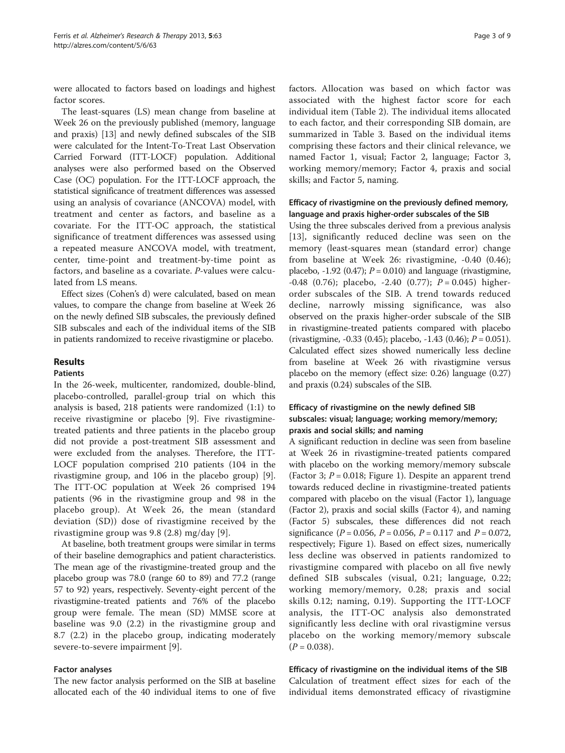were allocated to factors based on loadings and highest factor scores.

The least-squares (LS) mean change from baseline at Week 26 on the previously published (memory, language and praxis) [\[13\]](#page-8-0) and newly defined subscales of the SIB were calculated for the Intent-To-Treat Last Observation Carried Forward (ITT-LOCF) population. Additional analyses were also performed based on the Observed Case (OC) population. For the ITT-LOCF approach, the statistical significance of treatment differences was assessed using an analysis of covariance (ANCOVA) model, with treatment and center as factors, and baseline as a covariate. For the ITT-OC approach, the statistical significance of treatment differences was assessed using a repeated measure ANCOVA model, with treatment, center, time-point and treatment-by-time point as factors, and baseline as a covariate. P-values were calculated from LS means.

Effect sizes (Cohen's d) were calculated, based on mean values, to compare the change from baseline at Week 26 on the newly defined SIB subscales, the previously defined SIB subscales and each of the individual items of the SIB in patients randomized to receive rivastigmine or placebo.

## Results

#### Patients

In the 26-week, multicenter, randomized, double-blind, placebo-controlled, parallel-group trial on which this analysis is based, 218 patients were randomized (1:1) to receive rivastigmine or placebo [[9](#page-8-0)]. Five rivastigminetreated patients and three patients in the placebo group did not provide a post-treatment SIB assessment and were excluded from the analyses. Therefore, the ITT-LOCF population comprised 210 patients (104 in the rivastigmine group, and 106 in the placebo group) [\[9](#page-8-0)]. The ITT-OC population at Week 26 comprised 194 patients (96 in the rivastigmine group and 98 in the placebo group). At Week 26, the mean (standard deviation (SD)) dose of rivastigmine received by the rivastigmine group was 9.8 (2.8) mg/day [\[9](#page-8-0)].

At baseline, both treatment groups were similar in terms of their baseline demographics and patient characteristics. The mean age of the rivastigmine-treated group and the placebo group was 78.0 (range 60 to 89) and 77.2 (range 57 to 92) years, respectively. Seventy-eight percent of the rivastigmine-treated patients and 76% of the placebo group were female. The mean (SD) MMSE score at baseline was 9.0 (2.2) in the rivastigmine group and 8.7 (2.2) in the placebo group, indicating moderately severe-to-severe impairment [\[9](#page-8-0)].

#### Factor analyses

The new factor analysis performed on the SIB at baseline allocated each of the 40 individual items to one of five

factors. Allocation was based on which factor was associated with the highest factor score for each individual item (Table [2](#page-3-0)). The individual items allocated to each factor, and their corresponding SIB domain, are summarized in Table [3.](#page-4-0) Based on the individual items comprising these factors and their clinical relevance, we named Factor 1, visual; Factor 2, language; Factor 3, working memory/memory; Factor 4, praxis and social skills; and Factor 5, naming.

## Efficacy of rivastigmine on the previously defined memory, language and praxis higher-order subscales of the SIB

Using the three subscales derived from a previous analysis [[13\]](#page-8-0), significantly reduced decline was seen on the memory (least-squares mean (standard error) change from baseline at Week 26: rivastigmine, -0.40 (0.46); placebo, -1.92 (0.47);  $P = 0.010$ ) and language (rivastigmine, -0.48 (0.76); placebo, -2.40 (0.77);  $P = 0.045$ ) higherorder subscales of the SIB. A trend towards reduced decline, narrowly missing significance, was also observed on the praxis higher-order subscale of the SIB in rivastigmine-treated patients compared with placebo (rivastigmine,  $-0.33$  (0.45); placebo,  $-1.43$  (0.46);  $P = 0.051$ ). Calculated effect sizes showed numerically less decline from baseline at Week 26 with rivastigmine versus placebo on the memory (effect size: 0.26) language (0.27) and praxis (0.24) subscales of the SIB.

## Efficacy of rivastigmine on the newly defined SIB subscales: visual; language; working memory/memory; praxis and social skills; and naming

A significant reduction in decline was seen from baseline at Week 26 in rivastigmine-treated patients compared with placebo on the working memory/memory subscale (Factor 3;  $P = 0.018$ ; Figure [1\)](#page-5-0). Despite an apparent trend towards reduced decline in rivastigmine-treated patients compared with placebo on the visual (Factor 1), language (Factor 2), praxis and social skills (Factor 4), and naming (Factor 5) subscales, these differences did not reach significance ( $P = 0.056$ ,  $P = 0.056$ ,  $P = 0.117$  and  $P = 0.072$ , respectively; Figure [1](#page-5-0)). Based on effect sizes, numerically less decline was observed in patients randomized to rivastigmine compared with placebo on all five newly defined SIB subscales (visual, 0.21; language, 0.22; working memory/memory, 0.28; praxis and social skills 0.12; naming, 0.19). Supporting the ITT-LOCF analysis, the ITT-OC analysis also demonstrated significantly less decline with oral rivastigmine versus placebo on the working memory/memory subscale  $(P = 0.038)$ .

## Efficacy of rivastigmine on the individual items of the SIB

Calculation of treatment effect sizes for each of the individual items demonstrated efficacy of rivastigmine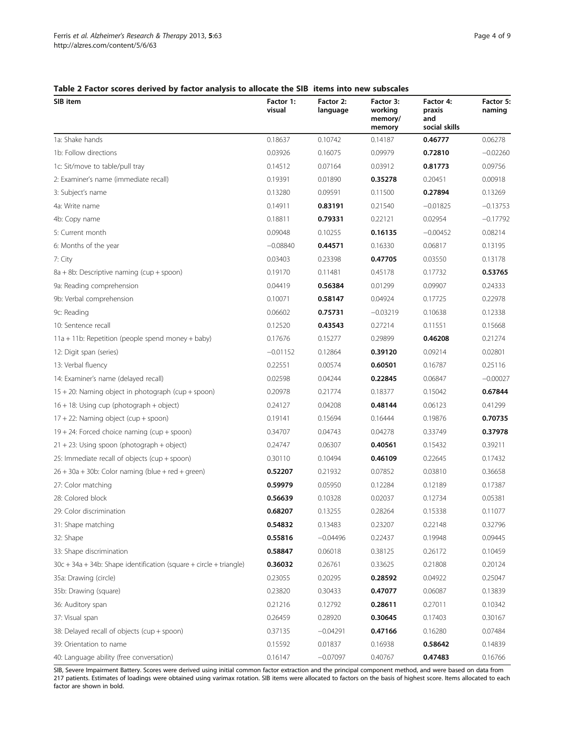## <span id="page-3-0"></span>Table 2 Factor scores derived by factor analysis to allocate the SIB items into new subscales

| SIB item                                                              | Factor 1:<br>visual | Factor 2:<br>language | Factor 3:<br>working<br>memory/<br>memory | Factor 4:<br>praxis<br>and<br>social skills | Factor 5:<br>naming |
|-----------------------------------------------------------------------|---------------------|-----------------------|-------------------------------------------|---------------------------------------------|---------------------|
| 1a: Shake hands                                                       | 0.18637             | 0.10742               | 0.14187                                   | 0.46777                                     | 0.06278             |
| 1b: Follow directions                                                 | 0.03926             | 0.16075               | 0.09979                                   | 0.72810                                     | $-0.02260$          |
| 1c: Sit/move to table/pull tray                                       | 0.14512             | 0.07164               | 0.03912                                   | 0.81773                                     | 0.09756             |
| 2: Examiner's name (immediate recall)                                 | 0.19391             | 0.01890               | 0.35278                                   | 0.20451                                     | 0.00918             |
| 3: Subject's name                                                     | 0.13280             | 0.09591               | 0.11500                                   | 0.27894                                     | 0.13269             |
| 4a: Write name                                                        | 0.14911             | 0.83191               | 0.21540                                   | $-0.01825$                                  | $-0.13753$          |
| 4b: Copy name                                                         | 0.18811             | 0.79331               | 0.22121                                   | 0.02954                                     | $-0.17792$          |
| 5: Current month                                                      | 0.09048             | 0.10255               | 0.16135                                   | $-0.00452$                                  | 0.08214             |
| 6: Months of the year                                                 | $-0.08840$          | 0.44571               | 0.16330                                   | 0.06817                                     | 0.13195             |
| 7: City                                                               | 0.03403             | 0.23398               | 0.47705                                   | 0.03550                                     | 0.13178             |
| 8a + 8b: Descriptive naming (cup + spoon)                             | 0.19170             | 0.11481               | 0.45178                                   | 0.17732                                     | 0.53765             |
| 9a: Reading comprehension                                             | 0.04419             | 0.56384               | 0.01299                                   | 0.09907                                     | 0.24333             |
| 9b: Verbal comprehension                                              | 0.10071             | 0.58147               | 0.04924                                   | 0.17725                                     | 0.22978             |
| 9c: Reading                                                           | 0.06602             | 0.75731               | $-0.03219$                                | 0.10638                                     | 0.12338             |
| 10: Sentence recall                                                   | 0.12520             | 0.43543               | 0.27214                                   | 0.11551                                     | 0.15668             |
| 11a + 11b: Repetition (people spend money + baby)                     | 0.17676             | 0.15277               | 0.29899                                   | 0.46208                                     | 0.21274             |
| 12: Digit span (series)                                               | $-0.01152$          | 0.12864               | 0.39120                                   | 0.09214                                     | 0.02801             |
| 13: Verbal fluency                                                    | 0.22551             | 0.00574               | 0.60501                                   | 0.16787                                     | 0.25116             |
| 14: Examiner's name (delayed recall)                                  | 0.02598             | 0.04244               | 0.22845                                   | 0.06847                                     | $-0.00027$          |
| 15 + 20: Naming object in photograph (cup + spoon)                    | 0.20978             | 0.21774               | 0.18377                                   | 0.15042                                     | 0.67844             |
| 16 + 18: Using cup (photograph + object)                              | 0.24127             | 0.04208               | 0.48144                                   | 0.06123                                     | 0.41299             |
| 17 + 22: Naming object (cup + spoon)                                  | 0.19141             | 0.15694               | 0.16444                                   | 0.19876                                     | 0.70735             |
| 19 + 24: Forced choice naming (cup + spoon)                           | 0.34707             | 0.04743               | 0.04278                                   | 0.33749                                     | 0.37978             |
| $21 + 23$ : Using spoon (photograph + object)                         | 0.24747             | 0.06307               | 0.40561                                   | 0.15432                                     | 0.39211             |
| 25: Immediate recall of objects (cup + spoon)                         | 0.30110             | 0.10494               | 0.46109                                   | 0.22645                                     | 0.17432             |
| $26 + 30a + 30b$ : Color naming (blue + red + green)                  | 0.52207             | 0.21932               | 0.07852                                   | 0.03810                                     | 0.36658             |
| 27: Color matching                                                    | 0.59979             | 0.05950               | 0.12284                                   | 0.12189                                     | 0.17387             |
| 28: Colored block                                                     | 0.56639             | 0.10328               | 0.02037                                   | 0.12734                                     | 0.05381             |
| 29: Color discrimination                                              | 0.68207             | 0.13255               | 0.28264                                   | 0.15338                                     | 0.11077             |
| 31: Shape matching                                                    | 0.54832             | 0.13483               | 0.23207                                   | 0.22148                                     | 0.32796             |
| 32: Shape                                                             | 0.55816             | $-0.04496$            | 0.22437                                   | 0.19948                                     | 0.09445             |
| 33: Shape discrimination                                              | 0.58847             | 0.06018               | 0.38125                                   | 0.26172                                     | 0.10459             |
| $30c + 34a + 34b$ : Shape identification (square + circle + triangle) | 0.36032             | 0.26761               | 0.33625                                   | 0.21808                                     | 0.20124             |
| 35a: Drawing (circle)                                                 | 0.23055             | 0.20295               | 0.28592                                   | 0.04922                                     | 0.25047             |
| 35b: Drawing (square)                                                 | 0.23820             | 0.30433               | 0.47077                                   | 0.06087                                     | 0.13839             |
| 36: Auditory span                                                     | 0.21216             | 0.12792               | 0.28611                                   | 0.27011                                     | 0.10342             |
| 37: Visual span                                                       | 0.26459             | 0.28920               | 0.30645                                   | 0.17403                                     | 0.30167             |
| 38: Delayed recall of objects (cup + spoon)                           | 0.37135             | $-0.04291$            | 0.47166                                   | 0.16280                                     | 0.07484             |
| 39: Orientation to name                                               | 0.15592             | 0.01837               | 0.16938                                   | 0.58642                                     | 0.14839             |
| 40: Language ability (free conversation)                              | 0.16147             | $-0.07097$            | 0.40767                                   | 0.47483                                     | 0.16766             |

SIB, Severe Impairment Battery. Scores were derived using initial common factor extraction and the principal component method, and were based on data from 217 patients. Estimates of loadings were obtained using varimax rotation. SIB items were allocated to factors on the basis of highest score. Items allocated to each factor are shown in bold.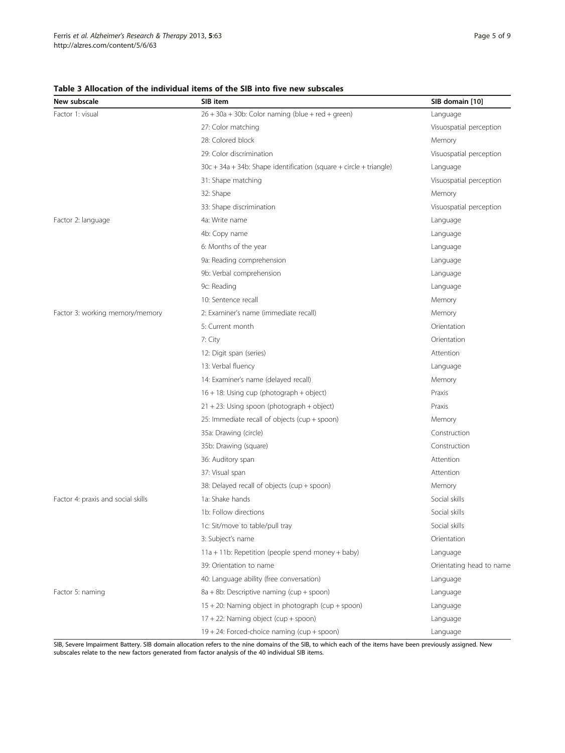#### <span id="page-4-0"></span>Table 3 Allocation of the individual items of the SIB into five new subscales

| New subscale                       | SIB item                                                              | SIB domain [10]          |  |
|------------------------------------|-----------------------------------------------------------------------|--------------------------|--|
| Factor 1: visual                   | $26 + 30a + 30b$ : Color naming (blue + red + green)                  | Language                 |  |
|                                    | 27: Color matching                                                    | Visuospatial perception  |  |
|                                    | 28: Colored block                                                     | Memory                   |  |
|                                    | 29: Color discrimination                                              | Visuospatial perception  |  |
|                                    | $30c + 34a + 34b$ : Shape identification (square + circle + triangle) | Language                 |  |
|                                    | 31: Shape matching                                                    | Visuospatial perception  |  |
|                                    | 32: Shape                                                             | Memory                   |  |
|                                    | 33: Shape discrimination                                              | Visuospatial perception  |  |
| Factor 2: language                 | 4a: Write name                                                        | Language                 |  |
|                                    | 4b: Copy name                                                         | Language                 |  |
|                                    | 6: Months of the year                                                 | Language                 |  |
|                                    | 9a: Reading comprehension                                             | Language                 |  |
|                                    | 9b: Verbal comprehension                                              | Language                 |  |
|                                    | 9c: Reading                                                           | Language                 |  |
|                                    | 10: Sentence recall                                                   | Memory                   |  |
| Factor 3: working memory/memory    | 2: Examiner's name (immediate recall)                                 | Memory                   |  |
|                                    | 5: Current month                                                      | Orientation              |  |
|                                    | 7: City                                                               | Orientation              |  |
|                                    | 12: Digit span (series)                                               | Attention                |  |
|                                    | 13: Verbal fluency                                                    | Language                 |  |
|                                    | 14: Examiner's name (delayed recall)                                  | Memory                   |  |
|                                    | 16 + 18: Using cup (photograph + object)                              | Praxis                   |  |
|                                    | 21 + 23: Using spoon (photograph + object)                            | Praxis                   |  |
|                                    | 25: Immediate recall of objects (cup + spoon)                         | Memory                   |  |
|                                    | 35a: Drawing (circle)                                                 | Construction             |  |
|                                    | 35b: Drawing (square)                                                 | Construction             |  |
|                                    | 36: Auditory span                                                     | Attention                |  |
|                                    | 37: Visual span                                                       | Attention                |  |
|                                    | 38: Delayed recall of objects (cup + spoon)                           | Memory                   |  |
| Factor 4: praxis and social skills | 1a: Shake hands                                                       | Social skills            |  |
|                                    | 1b: Follow directions                                                 | Social skills            |  |
|                                    | 1c: Sit/move to table/pull tray                                       | Social skills            |  |
|                                    | 3: Subject's name                                                     | Orientation              |  |
|                                    | 11a + 11b: Repetition (people spend money + baby)                     | Language                 |  |
|                                    | 39: Orientation to name                                               | Orientating head to name |  |
|                                    | 40: Language ability (free conversation)                              | Language                 |  |
| Factor 5: naming                   | 8a + 8b: Descriptive naming (cup + spoon)                             | Language                 |  |
|                                    | 15 + 20: Naming object in photograph (cup + spoon)                    | Language                 |  |
|                                    | 17 + 22: Naming object (cup + spoon)                                  | Language                 |  |
|                                    | 19 + 24: Forced-choice naming (cup + spoon)                           | Language                 |  |

SIB, Severe Impairment Battery. SIB domain allocation refers to the nine domains of the SIB, to which each of the items have been previously assigned. New subscales relate to the new factors generated from factor analysis of the 40 individual SIB items.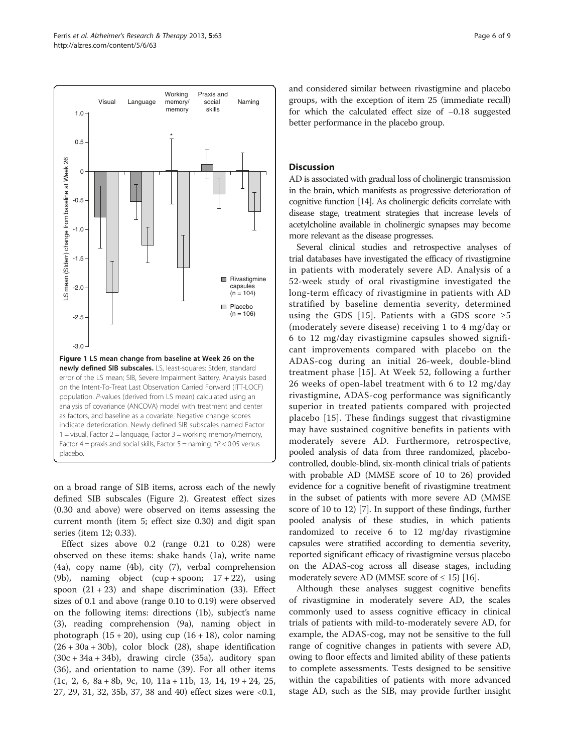<span id="page-5-0"></span>

on a broad range of SIB items, across each of the newly defined SIB subscales (Figure [2\)](#page-6-0). Greatest effect sizes (0.30 and above) were observed on items assessing the current month (item 5; effect size 0.30) and digit span series (item 12; 0.33).

Effect sizes above 0.2 (range 0.21 to 0.28) were observed on these items: shake hands (1a), write name (4a), copy name (4b), city (7), verbal comprehension (9b), naming object (cup + spoon; 17 + 22), using spoon  $(21 + 23)$  and shape discrimination (33). Effect sizes of 0.1 and above (range 0.10 to 0.19) were observed on the following items: directions (1b), subject's name (3), reading comprehension (9a), naming object in photograph  $(15 + 20)$ , using cup  $(16 + 18)$ , color naming  $(26 + 30a + 30b)$ , color block  $(28)$ , shape identification (30c + 34a + 34b), drawing circle (35a), auditory span (36), and orientation to name (39). For all other items (1c, 2, 6, 8a + 8b, 9c, 10, 11a + 11b, 13, 14, 19 + 24, 25, 27, 29, 31, 32, 35b, 37, 38 and 40) effect sizes were <0.1, and considered similar between rivastigmine and placebo groups, with the exception of item 25 (immediate recall) for which the calculated effect size of −0.18 suggested better performance in the placebo group.

## **Discussion**

AD is associated with gradual loss of cholinergic transmission in the brain, which manifests as progressive deterioration of cognitive function [\[14](#page-8-0)]. As cholinergic deficits correlate with disease stage, treatment strategies that increase levels of acetylcholine available in cholinergic synapses may become more relevant as the disease progresses.

Several clinical studies and retrospective analyses of trial databases have investigated the efficacy of rivastigmine in patients with moderately severe AD. Analysis of a 52-week study of oral rivastigmine investigated the long-term efficacy of rivastigmine in patients with AD stratified by baseline dementia severity, determined using the GDS [\[15\]](#page-8-0). Patients with a GDS score  $\geq 5$ (moderately severe disease) receiving 1 to 4 mg/day or 6 to 12 mg/day rivastigmine capsules showed significant improvements compared with placebo on the ADAS-cog during an initial 26-week, double-blind treatment phase [[15](#page-8-0)]. At Week 52, following a further 26 weeks of open-label treatment with 6 to 12 mg/day rivastigmine, ADAS-cog performance was significantly superior in treated patients compared with projected placebo [\[15\]](#page-8-0). These findings suggest that rivastigmine may have sustained cognitive benefits in patients with moderately severe AD. Furthermore, retrospective, pooled analysis of data from three randomized, placebocontrolled, double-blind, six-month clinical trials of patients with probable AD (MMSE score of 10 to 26) provided evidence for a cognitive benefit of rivastigmine treatment in the subset of patients with more severe AD (MMSE score of 10 to 12) [\[7](#page-7-0)]. In support of these findings, further pooled analysis of these studies, in which patients randomized to receive 6 to 12 mg/day rivastigmine capsules were stratified according to dementia severity, reported significant efficacy of rivastigmine versus placebo on the ADAS-cog across all disease stages, including moderately severe AD (MMSE score of  $\leq$  15) [\[16](#page-8-0)].

Although these analyses suggest cognitive benefits of rivastigmine in moderately severe AD, the scales commonly used to assess cognitive efficacy in clinical trials of patients with mild-to-moderately severe AD, for example, the ADAS-cog, may not be sensitive to the full range of cognitive changes in patients with severe AD, owing to floor effects and limited ability of these patients to complete assessments. Tests designed to be sensitive within the capabilities of patients with more advanced stage AD, such as the SIB, may provide further insight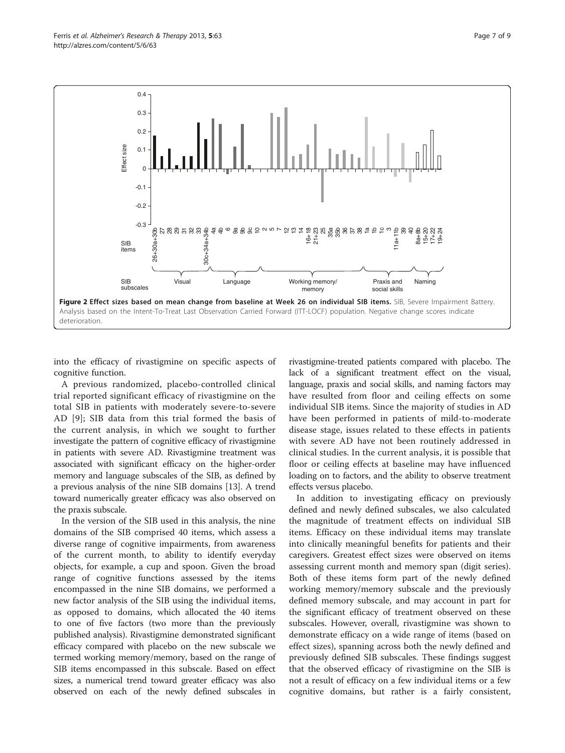<span id="page-6-0"></span>

into the efficacy of rivastigmine on specific aspects of cognitive function.

A previous randomized, placebo-controlled clinical trial reported significant efficacy of rivastigmine on the total SIB in patients with moderately severe-to-severe AD [\[9](#page-8-0)]; SIB data from this trial formed the basis of the current analysis, in which we sought to further investigate the pattern of cognitive efficacy of rivastigmine in patients with severe AD. Rivastigmine treatment was associated with significant efficacy on the higher-order memory and language subscales of the SIB, as defined by a previous analysis of the nine SIB domains [[13](#page-8-0)]. A trend toward numerically greater efficacy was also observed on the praxis subscale.

In the version of the SIB used in this analysis, the nine domains of the SIB comprised 40 items, which assess a diverse range of cognitive impairments, from awareness of the current month, to ability to identify everyday objects, for example, a cup and spoon. Given the broad range of cognitive functions assessed by the items encompassed in the nine SIB domains, we performed a new factor analysis of the SIB using the individual items, as opposed to domains, which allocated the 40 items to one of five factors (two more than the previously published analysis). Rivastigmine demonstrated significant efficacy compared with placebo on the new subscale we termed working memory/memory, based on the range of SIB items encompassed in this subscale. Based on effect sizes, a numerical trend toward greater efficacy was also observed on each of the newly defined subscales in

rivastigmine-treated patients compared with placebo. The lack of a significant treatment effect on the visual, language, praxis and social skills, and naming factors may have resulted from floor and ceiling effects on some individual SIB items. Since the majority of studies in AD have been performed in patients of mild-to-moderate disease stage, issues related to these effects in patients with severe AD have not been routinely addressed in clinical studies. In the current analysis, it is possible that floor or ceiling effects at baseline may have influenced loading on to factors, and the ability to observe treatment effects versus placebo.

In addition to investigating efficacy on previously defined and newly defined subscales, we also calculated the magnitude of treatment effects on individual SIB items. Efficacy on these individual items may translate into clinically meaningful benefits for patients and their caregivers. Greatest effect sizes were observed on items assessing current month and memory span (digit series). Both of these items form part of the newly defined working memory/memory subscale and the previously defined memory subscale, and may account in part for the significant efficacy of treatment observed on these subscales. However, overall, rivastigmine was shown to demonstrate efficacy on a wide range of items (based on effect sizes), spanning across both the newly defined and previously defined SIB subscales. These findings suggest that the observed efficacy of rivastigmine on the SIB is not a result of efficacy on a few individual items or a few cognitive domains, but rather is a fairly consistent,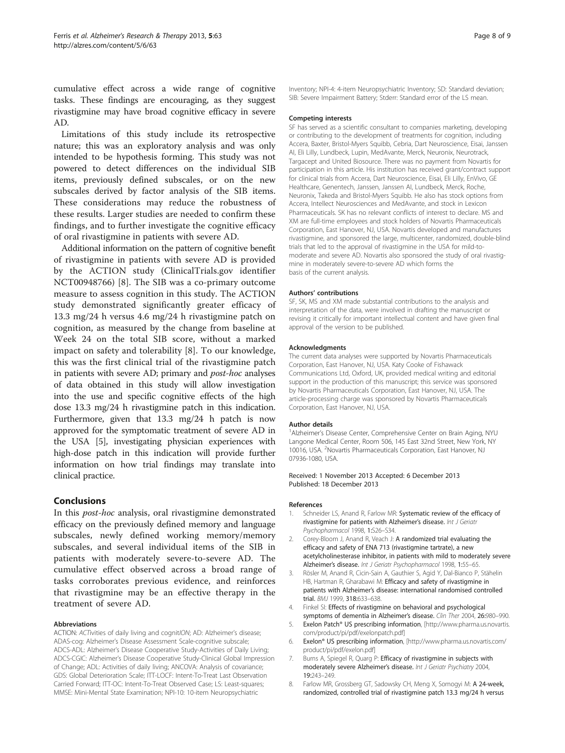<span id="page-7-0"></span>cumulative effect across a wide range of cognitive tasks. These findings are encouraging, as they suggest rivastigmine may have broad cognitive efficacy in severe AD.

Limitations of this study include its retrospective nature; this was an exploratory analysis and was only intended to be hypothesis forming. This study was not powered to detect differences on the individual SIB items, previously defined subscales, or on the new subscales derived by factor analysis of the SIB items. These considerations may reduce the robustness of these results. Larger studies are needed to confirm these findings, and to further investigate the cognitive efficacy of oral rivastigmine in patients with severe AD.

Additional information on the pattern of cognitive benefit of rivastigmine in patients with severe AD is provided by the ACTION study (ClinicalTrials.gov identifier NCT00948766) [8]. The SIB was a co-primary outcome measure to assess cognition in this study. The ACTION study demonstrated significantly greater efficacy of 13.3 mg/24 h versus 4.6 mg/24 h rivastigmine patch on cognition, as measured by the change from baseline at Week 24 on the total SIB score, without a marked impact on safety and tolerability [8]. To our knowledge, this was the first clinical trial of the rivastigmine patch in patients with severe AD; primary and post-hoc analyses of data obtained in this study will allow investigation into the use and specific cognitive effects of the high dose 13.3 mg/24 h rivastigmine patch in this indication. Furthermore, given that 13.3 mg/24 h patch is now approved for the symptomatic treatment of severe AD in the USA [5], investigating physician experiences with high-dose patch in this indication will provide further information on how trial findings may translate into clinical practice.

#### Conclusions

In this post-hoc analysis, oral rivastigmine demonstrated efficacy on the previously defined memory and language subscales, newly defined working memory/memory subscales, and several individual items of the SIB in patients with moderately severe-to-severe AD. The cumulative effect observed across a broad range of tasks corroborates previous evidence, and reinforces that rivastigmine may be an effective therapy in the treatment of severe AD.

#### Abbreviations

ACTION: ACTivities of daily living and cognit/ON; AD: Alzheimer's disease; ADAS-cog: Alzheimer's Disease Assessment Scale-cognitive subscale; ADCS-ADL: Alzheimer's Disease Cooperative Study-Activities of Daily Living; ADCS-CGIC: Alzheimer's Disease Cooperative Study-Clinical Global Impression of Change; ADL: Activities of daily living; ANCOVA: Analysis of covariance; GDS: Global Deterioration Scale; ITT-LOCF: Intent-To-Treat Last Observation Carried Forward; ITT-OC: Intent-To-Treat Observed Case; LS: Least-squares; MMSE: Mini-Mental State Examination; NPI-10: 10-item Neuropsychiatric

Inventory; NPI-4: 4-item Neuropsychiatric Inventory; SD: Standard deviation; SIB: Severe Impairment Battery; Stderr: Standard error of the LS mean.

#### Competing interests

SF has served as a scientific consultant to companies marketing, developing or contributing to the development of treatments for cognition, including Accera, Baxter, Bristol-Myers Squibb, Cebria, Dart Neuroscience, Eisai, Janssen AI, Eli Lilly, Lundbeck, Lupin, MedAvante, Merck, Neuronix, Neurotrack, Targacept and United Biosource. There was no payment from Novartis for participation in this article. His institution has received grant/contract support for clinical trials from Accera, Dart Neuroscience, Eisai, Eli Lilly, EnVivo, GE Healthcare, Genentech, Janssen, Janssen AI, Lundbeck, Merck, Roche, Neuronix, Takeda and Bristol-Myers Squibb. He also has stock options from Accera, Intellect Neurosciences and MedAvante, and stock in Lexicon Pharmaceuticals. SK has no relevant conflicts of interest to declare. MS and XM are full-time employees and stock holders of Novartis Pharmaceuticals Corporation, East Hanover, NJ, USA. Novartis developed and manufactures rivastigmine, and sponsored the large, multicenter, randomized, double-blind trials that led to the approval of rivastigmine in the USA for mild-tomoderate and severe AD. Novartis also sponsored the study of oral rivastigmine in moderately severe-to-severe AD which forms the basis of the current analysis.

#### Authors' contributions

SF, SK, MS and XM made substantial contributions to the analysis and interpretation of the data, were involved in drafting the manuscript or revising it critically for important intellectual content and have given final approval of the version to be published.

#### Acknowledgments

The current data analyses were supported by Novartis Pharmaceuticals Corporation, East Hanover, NJ, USA. Katy Cooke of Fishawack Communications Ltd, Oxford, UK, provided medical writing and editorial support in the production of this manuscript; this service was sponsored by Novartis Pharmaceuticals Corporation, East Hanover, NJ, USA. The article-processing charge was sponsored by Novartis Pharmaceuticals Corporation, East Hanover, NJ, USA.

#### Author details

<sup>1</sup> Alzheimer's Disease Center, Comprehensive Center on Brain Aging, NYU Langone Medical Center, Room 506, 145 East 32nd Street, New York, NY 10016, USA. <sup>2</sup> Novartis Pharmaceuticals Corporation, East Hanover, NJ 07936-1080, USA.

Received: 1 November 2013 Accepted: 6 December 2013 Published: 18 December 2013

#### References

- 1. Schneider LS, Anand R, Farlow MR: Systematic review of the efficacy of rivastigmine for patients with Alzheimer's disease. Int J Geriatr Psychopharmacol 1998, 1:S26–S34.
- 2. Corey-Bloom J, Anand R, Veach J: A randomized trial evaluating the efficacy and safety of ENA 713 (rivastigmine tartrate), a new acetylcholinesterase inhibitor, in patients with mild to moderately severe Alzheimer's disease. Int J Geriatr Psychopharmacol 1998, 1:55–65.
- 3. Rösler M, Anand R, Cicin-Sain A, Gauthier S, Agid Y, Dal-Bianco P, Stähelin HB, Hartman R, Gharabawi M: Efficacy and safety of rivastigmine in patients with Alzheimer's disease: international randomised controlled trial. BMJ 1999, 318:633–638.
- 4. Finkel SI: Effects of rivastigmine on behavioral and psychological
- symptoms of dementia in Alzheimer's disease. Clin Ther 2004, 26:980–990. 5. Exelon Patch® US prescribing information, [\[http://www.pharma.us.novartis.](http://www.pharma.us.novartis.com/product/pi/pdf/exelonpatch.pdf) [com/product/pi/pdf/exelonpatch.pdf](http://www.pharma.us.novartis.com/product/pi/pdf/exelonpatch.pdf)]
- 6. Exelon® US prescribing information, [\[http://www.pharma.us.novartis.com/](http://www.pharma.us.novartis.com/product/pi/pdf/exelon.pdf) [product/pi/pdf/exelon.pdf](http://www.pharma.us.novartis.com/product/pi/pdf/exelon.pdf)]
- 7. Burns A, Spiegel R, Quarg P: Efficacy of rivastigmine in subjects with moderately severe Alzheimer's disease. Int J Geriatr Psychiatry 2004, 19:243–249.
- 8. Farlow MR, Grossberg GT, Sadowsky CH, Meng X, Somogyi M: A 24-week, randomized, controlled trial of rivastigmine patch 13.3 mg/24 h versus